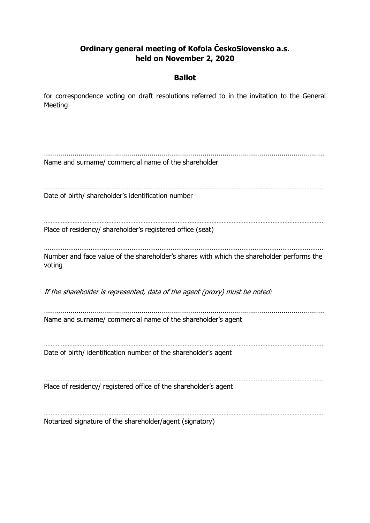# **Ordinary general meeting of Kofola ČeskoSlovensko a.s. held on November 2, 2020**

## **Ballot**

for correspondence voting on draft resolutions referred to in the invitation to the General Meeting

………………………………………………………………………………………………………………………… Name and surname/ commercial name of the shareholder ………………………………………………………………………………………………………………………………………………… Date of birth/ shareholder's identification number ………………………………………………………………………………………………………………………………………………… Place of residency/ shareholder's registered office (seat) …………………………………………………………………………………………………………………………………… Number and face value of the shareholder's shares with which the shareholder performs the voting If the shareholder is represented, data of the agent (proxy) must be noted: ………………………………………………………………………………………………………………………… Name and surname/ commercial name of the shareholder's agent ………………………………………………………………………………………………………………………………………………… Date of birth/ identification number of the shareholder's agent . The same independent of the same independent of the same independent of the same independent of the same independent of the same independent of the same independent of the same independent of the same independent of the Place of residency/ registered office of the shareholder's agent ………………………………………………………………………………………………………………………………………………… Notarized signature of the shareholder/agent (signatory)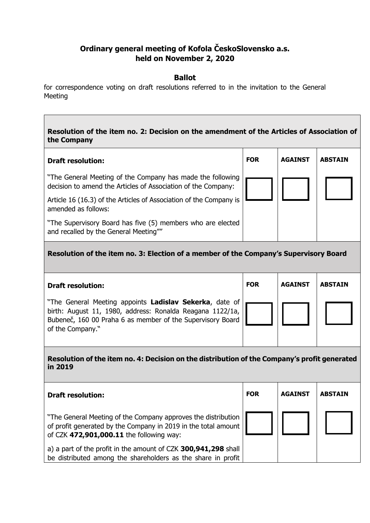# **Ordinary general meeting of Kofola ČeskoSlovensko a.s. held on November 2, 2020**

#### **Ballot**

for correspondence voting on draft resolutions referred to in the invitation to the General Meeting

### **Resolution of the item no. 2: Decision on the amendment of the Articles of Association of the Company**

| <b>Draft resolution:</b>                                                                                                    | <b>FOR</b> | <b>AGAINST</b> | <b>ABSTAIN</b> |
|-----------------------------------------------------------------------------------------------------------------------------|------------|----------------|----------------|
| "The General Meeting of the Company has made the following<br>decision to amend the Articles of Association of the Company: |            |                |                |
| Article 16 (16.3) of the Articles of Association of the Company is<br>amended as follows:                                   |            |                |                |
| "The Supervisory Board has five (5) members who are elected<br>and recalled by the General Meeting""                        |            |                |                |

## **Resolution of the item no. 3: Election of a member of the Company's Supervisory Board**

| <b>Draft resolution:</b>                                                                                                                                                                                 | <b>FOR</b> | <b>AGAINST</b> | <b>ABSTAIN</b> |
|----------------------------------------------------------------------------------------------------------------------------------------------------------------------------------------------------------|------------|----------------|----------------|
| "The General Meeting appoints Ladislav Sekerka, date of<br>birth: August 11, 1980, address: Ronalda Reagana 1122/1a,  <br>Bubeneč, 160 00 Praha 6 as member of the Supervisory Board<br>of the Company." |            |                |                |

**Resolution of the item no. 4: Decision on the distribution of the Company's profit generated in 2019**

| <b>Draft resolution:</b>                                                                                                                                                    | <b>FOR</b> | <b>AGAINST</b> | <b>ABSTAIN</b> |
|-----------------------------------------------------------------------------------------------------------------------------------------------------------------------------|------------|----------------|----------------|
| "The General Meeting of the Company approves the distribution<br>of profit generated by the Company in 2019 in the total amount<br>of CZK 472,901,000.11 the following way: |            |                |                |
| a) a part of the profit in the amount of CZK 300,941,298 shall<br>be distributed among the shareholders as the share in profit                                              |            |                |                |